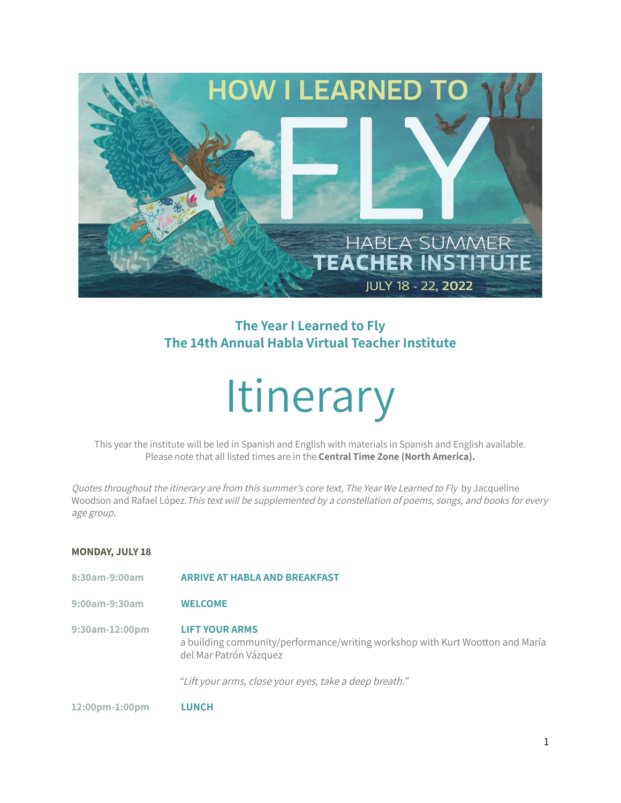

# **The Year I Learned to Fly The 14th Annual Habla Virtual Teacher Institute**

# **Itinerary**

This year the institute will be led in Spanish and English with materials in Spanish and English available. Please note that all listed times are in the **Central Time Zone (North America).**

Quotes throughout the itinerary are from this summer's core text, The Year We Learned to Fly by Jacqueline Woodson and Rafael López. This text will be supplemented by a constellation of poems, songs, and books for every age group.

# **MONDAY, JULY 18**

- **8:30am-9:00am ARRIVE AT HABLA AND BREAKFAST**
- **9:00am-9:30am WELCOME**
- **9:30am-12:00pm LIFT YOUR ARMS** a building community/performance/writing workshop with Kurt Wootton and María del Mar Patrón Vázquez

"Lift your arms, close your eyes, take <sup>a</sup> deep breath."

**12:00pm-1:00pm LUNCH**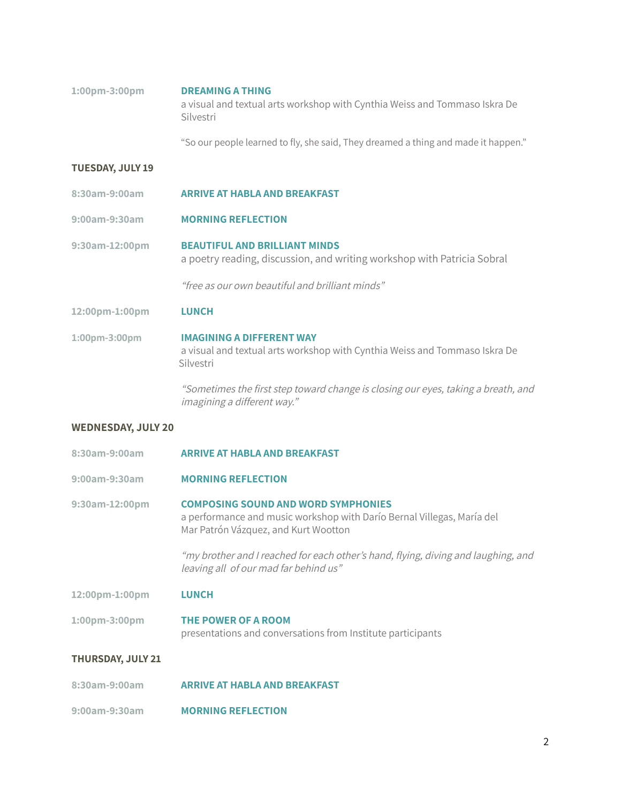| $1:00 \text{pm} - 3:00 \text{pm}$ | <b>DREAMING A THING</b>                                                                 |
|-----------------------------------|-----------------------------------------------------------------------------------------|
|                                   | a visual and textual arts workshop with Cynthia Weiss and Tommaso Iskra De<br>Silvestri |
|                                   |                                                                                         |

"So our people learned to fly, she said, They dreamed a thing and made it happen."

## **TUESDAY, JULY 19**

- **8:30am-9:00am ARRIVE AT HABLA AND BREAKFAST**
- **9:00am-9:30am MORNING REFLECTION**
- **9:30am-12:00pm BEAUTIFUL AND BRILLIANT MINDS** a poetry reading, discussion, and writing workshop with Patricia Sobral

"free as our own beautiful and brilliant minds"

**12:00pm-1:00pm LUNCH**

**1:00pm-3:00pm IMAGINING A DIFFERENT WAY** a visual and textual arts workshop with Cynthia Weiss and Tommaso Iskra De Silvestri

> "Sometimes the first step toward change is closing our eyes, taking <sup>a</sup> breath, and imagining <sup>a</sup> different way."

#### **WEDNESDAY, JULY 20**

- **8:30am-9:00am ARRIVE AT HABLA AND BREAKFAST**
- **9:00am-9:30am MORNING REFLECTION**

**9:30am-12:00pm COMPOSING SOUND AND WORD SYMPHONIES** a performance and music workshop with Darío Bernal Villegas, María del Mar Patrón Vázquez, and Kurt Wootton

> "my brother and <sup>I</sup> reached for each other's hand, flying, diving and laughing, and leaving all of our mad far behind us"

**12:00pm-1:00pm LUNCH**

**1:00pm-3:00pm THE POWER OF A ROOM** presentations and conversations from Institute participants

# **THURSDAY, JULY 21**

- **8:30am-9:00am ARRIVE AT HABLA AND BREAKFAST**
- **9:00am-9:30am MORNING REFLECTION**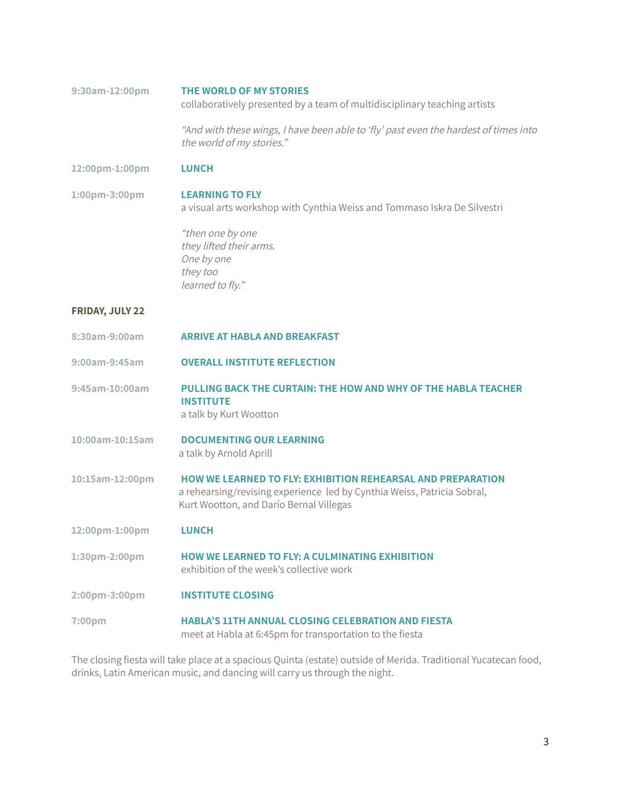**9:30am-12:00pm THE WORLD OF MY STORIES** collaboratively presented by a team of multidisciplinary teaching artists

> "And with these wings, <sup>I</sup> have been able to 'fly' past even the hardest of times into the world of my stories."

**12:00pm-1:00pm LUNCH**

**1:00pm-3:00pm LEARNING TO FLY** a visual arts workshop with Cynthia Weiss and Tommaso Iskra De Silvestri

> "then one by one they lifted their arms. One by one they too learned to fly."

# **FRIDAY, JULY 22**

**8:30am-9:00am ARRIVE AT HABLA AND BREAKFAST 9:00am-9:45am OVERALL INSTITUTE REFLECTION 9:45am-10:00am PULLING BACK THE CURTAIN: THE HOW AND WHY OF THE HABLA TEACHER INSTITUTE** a talk by Kurt Wootton **10:00am-10:15am DOCUMENTING OUR LEARNING** a talk by Arnold Aprill **10:15am-12:00pm HOW WE LEARNED TO FLY: EXHIBITION REHEARSAL AND PREPARATION** a rehearsing/revising experience led by Cynthia Weiss, Patricia Sobral, Kurt Wootton, and Darío Bernal Villegas **12:00pm-1:00pm LUNCH 1:30pm-2:00pm HOW WE LEARNED TO FLY: A CULMINATING EXHIBITION** exhibition of the week's collective work **2:00pm-3:00pm INSTITUTE CLOSING 7:00pm HABLA'S 11TH ANNUAL CLOSING CELEBRATION AND FIESTA** meet at Habla at 6:45pm for transportation to the fiesta

The closing fiesta will take place at a spacious Quinta (estate) outside of Merida. Traditional Yucatecan food, drinks, Latin American music, and dancing will carry us through the night.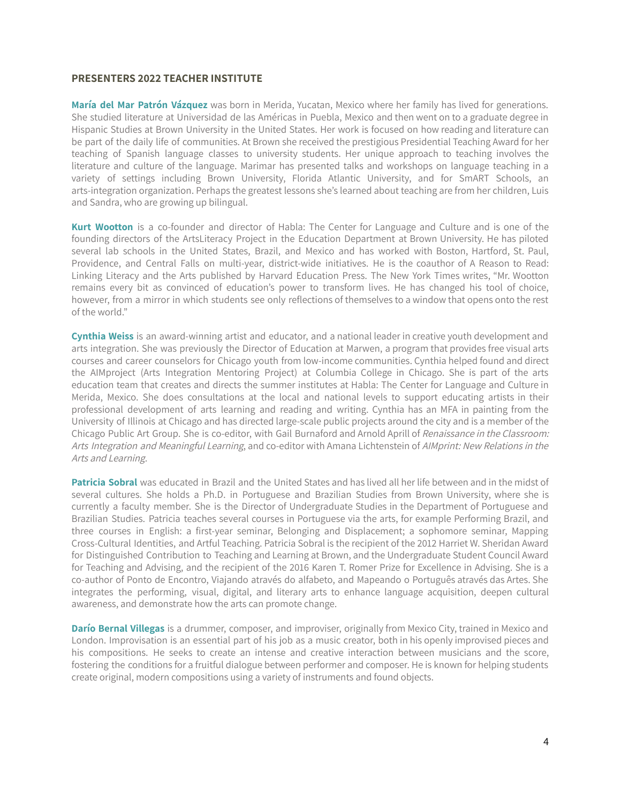# **PRESENTERS 2022 TEACHER INSTITUTE**

**María del Mar Patrón Vázquez** was born in Merida, Yucatan, Mexico where her family has lived for generations. She studied literature at Universidad de las Américas in Puebla, Mexico and then went on to a graduate degree in Hispanic Studies at Brown University in the United States. Her work is focused on how reading and literature can be part of the daily life of communities. At Brown she received the prestigious Presidential Teaching Award for her teaching of Spanish language classes to university students. Her unique approach to teaching involves the literature and culture of the language. Marimar has presented talks and workshops on language teaching in a variety of settings including Brown University, Florida Atlantic University, and for SmART Schools, an arts-integration organization. Perhaps the greatest lessons she's learned about teaching are from her children, Luis and Sandra, who are growing up bilingual.

**Kurt Wootton** is a co-founder and director of Habla: The Center for Language and Culture and is one of the founding directors of the ArtsLiteracy Project in the Education Department at Brown University. He has piloted several lab schools in the United States, Brazil, and Mexico and has worked with Boston, Hartford, St. Paul, Providence, and Central Falls on multi-year, district-wide initiatives. He is the coauthor of A Reason to Read: Linking Literacy and the Arts published by Harvard Education Press. The New York Times writes, "Mr. Wootton remains every bit as convinced of education's power to transform lives. He has changed his tool of choice, however, from a mirror in which students see only reflections of themselves to a window that opens onto the rest of the world."

**Cynthia Weiss** is an award-winning artist and educator, and a national leader in creative youth development and arts integration. She was previously the Director of Education at Marwen, a program that provides free visual arts courses and career counselors for Chicago youth from low-income communities. Cynthia helped found and direct the AIMproject (Arts Integration Mentoring Project) at Columbia College in Chicago. She is part of the arts education team that creates and directs the summer institutes at Habla: The Center for Language and Culture in Merida, Mexico. She does consultations at the local and national levels to support educating artists in their professional development of arts learning and reading and writing. Cynthia has an MFA in painting from the University of Illinois at Chicago and has directed large-scale public projects around the city and is a member of the Chicago Public Art Group. She is co-editor, with Gail Burnaford and Arnold Aprill of Renaissance in the Classroom: Arts Integration and Meaningful Learning, and co-editor with Amana Lichtenstein of AIMprint: New Relations in the Arts and Learning.

**Patricia Sobral** was educated in Brazil and the United States and has lived all her life between and in the midst of several cultures. She holds a Ph.D. in Portuguese and Brazilian Studies from Brown University, where she is currently a faculty member. She is the Director of Undergraduate Studies in the Department of Portuguese and Brazilian Studies. Patricia teaches several courses in Portuguese via the arts, for example Performing Brazil, and three courses in English: a first-year seminar, Belonging and Displacement; a sophomore seminar, Mapping Cross-Cultural Identities, and Artful Teaching. Patricia Sobral is the recipient of the 2012 Harriet W. Sheridan Award for Distinguished Contribution to Teaching and Learning at Brown, and the Undergraduate Student Council Award for Teaching and Advising, and the recipient of the 2016 Karen T. Romer Prize for Excellence in Advising. She is a co-author of Ponto de Encontro, Viajando através do alfabeto, and Mapeando o Português através das Artes. She integrates the performing, visual, digital, and literary arts to enhance language acquisition, deepen cultural awareness, and demonstrate how the arts can promote change.

**Darío Bernal Villegas** is a drummer, composer, and improviser, originally from Mexico City, trained in Mexico and London. Improvisation is an essential part of his job as a music creator, both in his openly improvised pieces and his compositions. He seeks to create an intense and creative interaction between musicians and the score, fostering the conditions for a fruitful dialogue between performer and composer. He is known for helping students create original, modern compositions using a variety of instruments and found objects.